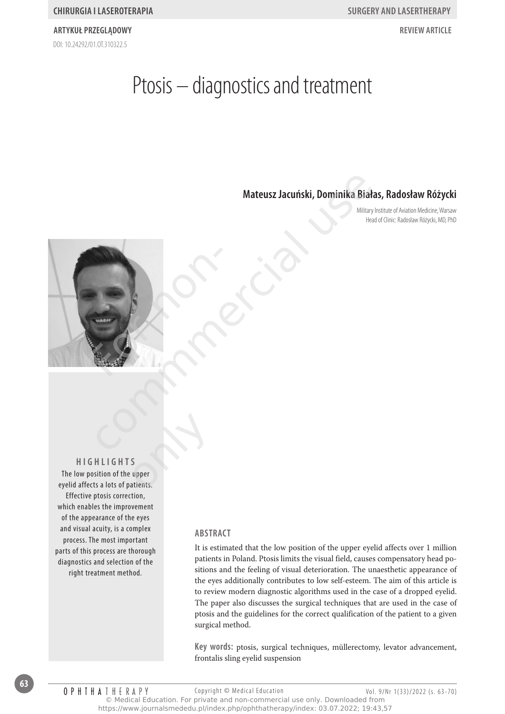DOI: 10.24292/01.0T310322.5 **artykuł przeglądowy review article**

# Ptosis – diagnostics and treatment

# **Mateusz Jacuński, Dominika Białas, Radosław Różycki**

Military Institute of Aviation Medicine, Warsaw Head of Clinic: Radosław Różycki, MD, PhD



**Hig h lig h t s** The low position of the upper eyelid affects a lots of patients. Effective ptosis correction, which enables the improvement of the appearance of the eyes and visual acuity, is a complex process. The most important parts of this process are thorough diagnostics and selection of the right treatment method. S<br>S<br>atients.

#### **Abstract**

It is estimated that the low position of the upper eyelid affects over 1 million patients in Poland. Ptosis limits the visual field, causes compensatory head positions and the feeling of visual deterioration. The unaesthetic appearance of the eyes additionally contributes to low self-esteem. The aim of this article is to review modern diagnostic algorithms used in the case of a dropped eyelid. The paper also discusses the surgical techniques that are used in the case of ptosis and the guidelines for the correct qualification of the patient to a given surgical method.

**Key words:** ptosis, surgical techniques, müllerectomy, levator advancement, frontalis sling eyelid suspension

**63**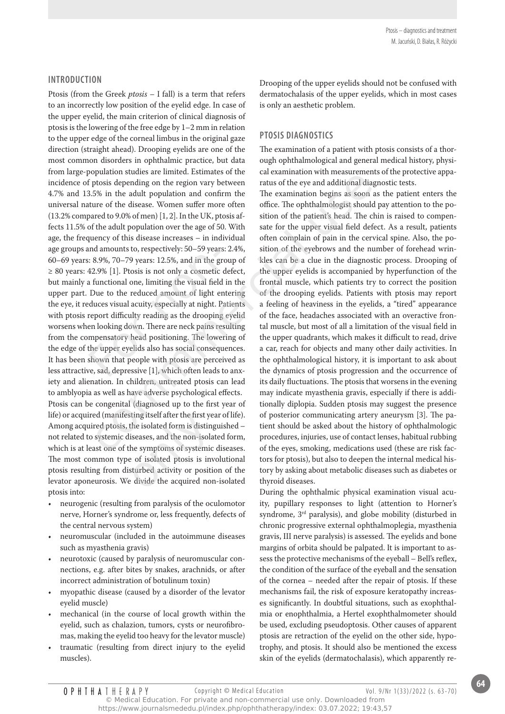# **Introduction**

Ptosis (from the Greek *ptosis* – I fall) is a term that refers to an incorrectly low position of the eyelid edge. In case of the upper eyelid, the main criterion of clinical diagnosis of ptosis is the lowering of the free edge by 1–2 mm in relation to the upper edge of the corneal limbus in the original gaze direction (straight ahead). Drooping eyelids are one of the most common disorders in ophthalmic practice, but data from large-population studies are limited. Estimates of the incidence of ptosis depending on the region vary between 4.7% and 13.5% in the adult population and confirm the universal nature of the disease. Women suffer more often (13.2% compared to 9.0% of men) [1, 2]. In the UK, ptosis affects 11.5% of the adult population over the age of 50. With age, the frequency of this disease increases – in individual age groups and amounts to, respectively: 50–59 years: 2.4%, 60–69 years: 8.9%, 70–79 years: 12.5%, and in the group of ≥ 80 years: 42.9% [1]. Ptosis is not only a cosmetic defect, but mainly a functional one, limiting the visual field in the upper part. Due to the reduced amount of light entering the eye, it reduces visual acuity, especially at night. Patients with ptosis report difficulty reading as the drooping eyelid worsens when looking down. There are neck pains resulting from the compensatory head positioning. The lowering of the edge of the upper eyelids also has social consequences. It has been shown that people with ptosis are perceived as less attractive, sad, depressive [1], which often leads to anxiety and alienation. In children, untreated ptosis can lead to amblyopia as well as have adverse psychological effects. Ptosis can be congenital (diagnosed up to the first year of life) or acquired (manifesting itself after the first year of life). Among acquired ptosis, the isolated form is distinguished – not related to systemic diseases, and the non-isolated form, which is at least one of the symptoms of systemic diseases. The most common type of isolated ptosis is involutional ptosis resulting from disturbed activity or position of the levator aponeurosis. We divide the acquired non-isolated ptosis into: is 8.9%, 70–79 years: 12.5%, and in the gradies: 8.9%, 70–79 years: 12.5%, and in the gradies: 42.9% [1]. Ptosis is not only a cosmetic a functional one, limiting the visual field Due to the reduced amount of light erduces putation states are immettic. Issumited to the case and intention by interest and the eyes are didditional diagnos<br>plots is depending on the region vary between ratus of the eye and additional diagnos<br>5% in the adult popu Filing itself after the first year the isolated form is distingulated form is distingulated by the symptoms of systemic of isolated ptosis is investingulated activity or position is divide the acquired not

- neurogenic (resulting from paralysis of the oculomotor nerve, Horner's syndrome or, less frequently, defects of the central nervous system)
- neuromuscular (included in the autoimmune diseases such as myasthenia gravis)
- neurotoxic (caused by paralysis of neuromuscular connections, e.g. after bites by snakes, arachnids, or after incorrect administration of botulinum toxin)
- myopathic disease (caused by a disorder of the levator eyelid muscle)
- mechanical (in the course of local growth within the eyelid, such as chalazion, tumors, cysts or neurofibromas, making the eyelid too heavy for the levator muscle)
- traumatic (resulting from direct injury to the eyelid muscles).

Drooping of the upper eyelids should not be confused with dermatochalasis of the upper eyelids, which in most cases is only an aesthetic problem.

# **Ptosis diagnostics**

The examination of a patient with ptosis consists of a thorough ophthalmological and general medical history, physical examination with measurements of the protective apparatus of the eye and additional diagnostic tests.

The examination begins as soon as the patient enters the office. The ophthalmologist should pay attention to the position of the patient's head. The chin is raised to compensate for the upper visual field defect. As a result, patients often complain of pain in the cervical spine. Also, the position of the eyebrows and the number of forehead wrinkles can be a clue in the diagnostic process. Drooping of the upper eyelids is accompanied by hyperfunction of the frontal muscle, which patients try to correct the position of the drooping eyelids. Patients with ptosis may report a feeling of heaviness in the eyelids, a "tired" appearance of the face, headaches associated with an overactive frontal muscle, but most of all a limitation of the visual field in the upper quadrants, which makes it difficult to read, drive a car, reach for objects and many other daily activities. In the ophthalmological history, it is important to ask about the dynamics of ptosis progression and the occurrence of its daily fluctuations. The ptosis that worsens in the evening may indicate myasthenia gravis, especially if there is additionally diplopia. Sudden ptosis may suggest the presence of posterior communicating artery aneurysm [3]. The patient should be asked about the history of ophthalmologic procedures, injuries, use of contact lenses, habitual rubbing of the eyes, smoking, medications used (these are risk factors for ptosis), but also to deepen the internal medical history by asking about metabolic diseases such as diabetes or thyroid diseases.

During the ophthalmic physical examination visual acuity, pupillary responses to light (attention to Horner's syndrome, 3rd paralysis), and globe mobility (disturbed in chronic progressive external ophthalmoplegia, myasthenia gravis, III nerve paralysis) is assessed. The eyelids and bone margins of orbita should be palpated. It is important to assess the protective mechanisms of the eyeball – Bell's reflex, the condition of the surface of the eyeball and the sensation of the cornea – needed after the repair of ptosis. If these mechanisms fail, the risk of exposure keratopathy increases significantly. In doubtful situations, such as exophthalmia or enophthalmia, a Hertel exophthalmometer should be used, excluding pseudoptosis. Other causes of apparent ptosis are retraction of the eyelid on the other side, hypotrophy, and ptosis. It should also be mentioned the excess skin of the eyelids (dermatochalasis), which apparently re-

**64**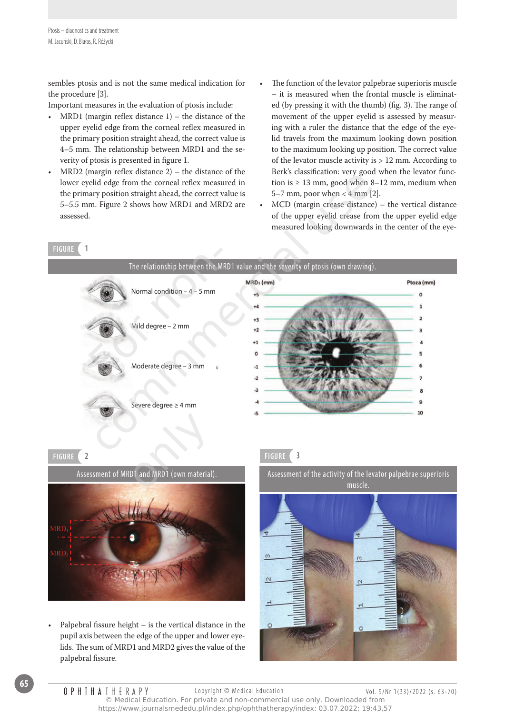sembles ptosis and is not the same medical indication for the procedure [3].

Important measures in the evaluation of ptosis include:

- MRD1 (margin reflex distance  $1$ ) the distance of the upper eyelid edge from the corneal reflex measured in the primary position straight ahead, the correct value is 4–5 mm. The relationship between MRD1 and the severity of ptosis is presented in figure 1.
- $MRD2$  (margin reflex distance 2) the distance of the lower eyelid edge from the corneal reflex measured in the primary position straight ahead, the correct value is 5–5.5 mm. Figure 2 shows how MRD1 and MRD2 are assessed.
- The function of the levator palpebrae superioris muscle – it is measured when the frontal muscle is eliminated (by pressing it with the thumb) (fig. 3). The range of movement of the upper eyelid is assessed by measuring with a ruler the distance that the edge of the eyelid travels from the maximum looking down position to the maximum looking up position. The correct value of the levator muscle activity is > 12 mm. According to Berk's classification: very good when the levator function is  $\geq 13$  mm, good when 8–12 mm, medium when 5–7 mm, poor when  $<$  4 mm  $[2]$ .
- $MCD$  (margin crease distance) the vertical distance of the upper eyelid crease from the upper eyelid edge measured looking downwards in the center of the eye-





Palpebral fissure height  $-$  is the vertical distance in the pupil axis between the edge of the upper and lower eyelids. The sum of MRD1 and MRD2 gives the value of the palpebral fissure.

Assessment of the activity of the levator palpebrae superioris muscle.

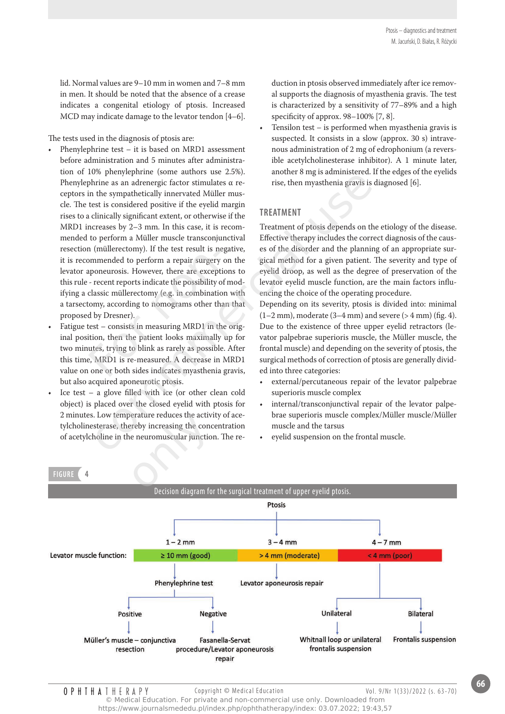lid. Normal values are 9–10 mm in women and 7–8 mm in men. It should be noted that the absence of a crease indicates a congenital etiology of ptosis. Increased MCD may indicate damage to the levator tendon [4–6].

The tests used in the diagnosis of ptosis are:

- Phenylephrine test  $-$  it is based on MRD1 assessment before administration and 5 minutes after administration of 10% phenylephrine (some authors use 2.5%). Phenylephrine as an adrenergic factor stimulates α receptors in the sympathetically innervated Müller muscle. The test is considered positive if the eyelid margin rises to a clinically significant extent, or otherwise if the MRD1 increases by 2–3 mm. In this case, it is recommended to perform a Müller muscle transconjunctival resection (müllerectomy). If the test result is negative, it is recommended to perform a repair surgery on the levator aponeurosis. However, there are exceptions to this rule - recent reports indicate the possibility of modifying a classic müllerectomy (e.g. in combination with a tarsectomy, according to nomograms other than that proposed by Dresner). n (mullerectomy). If the test result is ne<br>ommended to perform a repair surgery<br>aponeurosis. However, there are excepti<br>- recent reports indicate the possibility o<br>classic müllerectomy (e.g. in combinatio<br>comy, according t For example the same data once the section,<br>
informing as an addenergic factor stimulates are rise, then myasthenia gravis is distributed by innervated Müller musical<br>
est is considered positive if the eyelid magning sign
- Fatigue test consists in measuring MRD1 in the original position, then the patient looks maximally up for two minutes, trying to blink as rarely as possible. After this time, MRD1 is re-measured. A decrease in MRD1 value on one or both sides indicates myasthenia gravis, but also acquired aponeurotic ptosis.
- Ice test a glove filled with ice (or other clean cold object) is placed over the closed eyelid with ptosis for 2 minutes. Low temperature reduces the activity of acetylcholinesterase, thereby increasing the concentration of acetylcholine in the neuromuscular junction. The reerature reduces the activi<br>preby increasing the conce<br>neuromuscular junction<br>and the concentration<br>concentration of the concentration of the concentration of the concentration<br>and the concentration of the concentration of

duction in ptosis observed immediately after ice removal supports the diagnosis of myasthenia gravis. The test is characterized by a sensitivity of 77–89% and a high specificity of approx. 98–100% [7, 8].

Tensilon test  $-$  is performed when myasthenia gravis is suspected. It consists in a slow (approx. 30 s) intravenous administration of 2 mg of edrophonium (a reversible acetylcholinesterase inhibitor). A 1 minute later, another 8 mg is administered. If the edges of the eyelids rise, then myasthenia gravis is diagnosed [6].

# **Treatment**

Treatment of ptosis depends on the etiology of the disease. Effective therapy includes the correct diagnosis of the causes of the disorder and the planning of an appropriate surgical method for a given patient. The severity and type of eyelid droop, as well as the degree of preservation of the levator eyelid muscle function, are the main factors influencing the choice of the operating procedure.

Depending on its severity, ptosis is divided into: minimal  $(1-2 \text{ mm})$ , moderate  $(3-4 \text{ mm})$  and severe  $(> 4 \text{ mm})$  (fig. 4). Due to the existence of three upper eyelid retractors (levator palpebrae superioris muscle, the Müller muscle, the frontal muscle) and depending on the severity of ptosis, the surgical methods of correction of ptosis are generally divided into three categories:

- external/percutaneous repair of the levator palpebrae superioris muscle complex
- internal/transconjunctival repair of the levator palpebrae superioris muscle complex/Müller muscle/Müller muscle and the tarsus
- eyelid suspension on the frontal muscle.



#### **OPHTHATHERAPY** Copyright © Medical Education Vol. 9/Nr 1(33)/2022 (s. 63-70) © Medical Education. For private and non-commercial use only. Downloaded from https://www.journalsmededu.pl/index.php/ophthatherapy/index: 03.07.2022; 19:43,57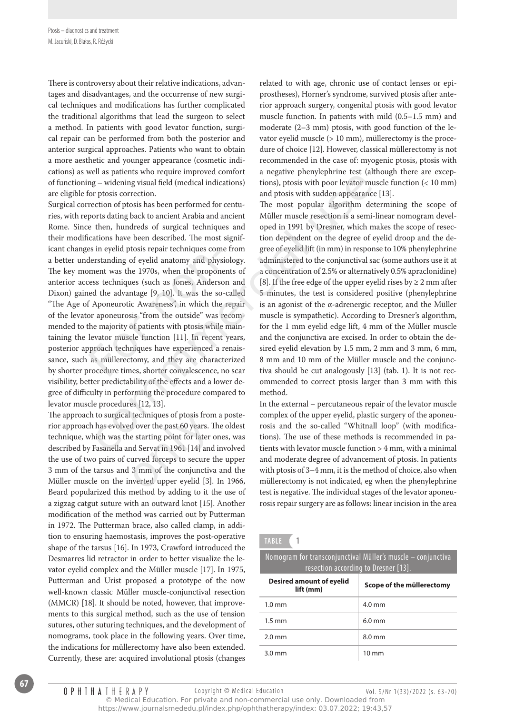There is controversy about their relative indications, advantages and disadvantages, and the occurrense of new surgical techniques and modifications has further complicated the traditional algorithms that lead the surgeon to select a method. In patients with good levator function, surgical repair can be performed from both the posterior and anterior surgical approaches. Patients who want to obtain a more aesthetic and younger appearance (cosmetic indications) as well as patients who require improved comfort of functioning – widening visual field (medical indications) are eligible for ptosis correction.

Surgical correction of ptosis has been performed for centuries, with reports dating back to ancient Arabia and ancient Rome. Since then, hundreds of surgical techniques and their modifications have been described. The most significant changes in eyelid ptosis repair techniques come from a better understanding of eyelid anatomy and physiology. The key moment was the 1970s, when the proponents of anterior access techniques (such as Jones, Anderson and Dixon) gained the advantage [9, 10]. It was the so-called "The Age of Aponeurotic Awareness", in which the repair of the levator aponeurosis "from the outside" was recommended to the majority of patients with ptosis while maintaining the levator muscle function [11]. In recent years, posterior approach techniques have experienced a renaissance, such as müllerectomy, and they are characterized by shorter procedure times, shorter convalescence, no scar visibility, better predictability of the effects and a lower degree of difficulty in performing the procedure compared to levator muscle procedures [12, 13]. es in eyelid ptosis repair techniques com<br>derstanding of eyelid anatomy and phys<br>ment was the 1970s, when the propone<br>cess techniques (such as Jones, Andersced<br>the advantage [9, 10]. It was the so<br>f Aponeurotic Awareness", En as pattents who require monotontal and proportional and proportion and proportion and proportion and prosis correction.<br>
In the most point probably the must proportion and proportion must provide must provide an appear

The approach to surgical techniques of ptosis from a posterior approach has evolved over the past 60 years. The oldest technique, which was the starting point for later ones, was described by Fasanella and Servat in 1961 [14] and involved the use of two pairs of curved forceps to secure the upper 3 mm of the tarsus and 3 mm of the conjunctiva and the The approach to surgical techniques of ptosis from a poster-<br>rior approach has evolved over the past 60 years. The oldest<br>technique, which was the starting point for later ones, was<br>described by Fasanella and Servat in 196 Beard popularized this method by adding to it the use of a zigzag catgut suture with an outward knot [15]. Another modification of the method was carried out by Putterman in 1972. The Putterman brace, also called clamp, in addition to ensuring haemostasis, improves the post-operative shape of the tarsus [16]. In 1973, Crawford introduced the Desmarres lid retractor in order to better visualize the levator eyelid complex and the Müller muscle [17]. In 1975, Putterman and Urist proposed a prototype of the now well-known classic Müller muscle-conjunctival resection (MMCR) [18]. It should be noted, however, that improvements to this surgical method, such as the use of tension sutures, other suturing techniques, and the development of nomograms, took place in the following years. Over time, the indications for müllerectomy have also been extended. Currently, these are: acquired involutional ptosis (changes

related to with age, chronic use of contact lenses or epiprostheses), Horner's syndrome, survived ptosis after anterior approach surgery, congenital ptosis with good levator muscle function. In patients with mild (0.5–1.5 mm) and moderate (2–3 mm) ptosis, with good function of the levator eyelid muscle (> 10 mm), müllerectomy is the procedure of choice [12]. However, classical müllerectomy is not recommended in the case of: myogenic ptosis, ptosis with a negative phenylephrine test (although there are exceptions), ptosis with poor levator muscle function (< 10 mm) and ptosis with sudden appearance [13].

The most popular algorithm determining the scope of Müller muscle resection is a semi-linear nomogram developed in 1991 by Dresner, which makes the scope of resection dependent on the degree of eyelid droop and the degree of eyelid lift (in mm) in response to 10% phenylephrine administered to the conjunctival sac (some authors use it at a concentration of 2.5% or alternatively 0.5% apraclonidine) [8]. If the free edge of the upper eyelid rises by  $\geq 2$  mm after 5 minutes, the test is considered positive (phenylephrine is an agonist of the α-adrenergic receptor, and the Müller muscle is sympathetic). According to Dresner's algorithm, for the 1 mm eyelid edge lift, 4 mm of the Müller muscle and the conjunctiva are excised. In order to obtain the desired eyelid elevation by 1.5 mm, 2 mm and 3 mm, 6 mm, 8 mm and 10 mm of the Müller muscle and the conjunctiva should be cut analogously [13] (tab. 1). It is not recommended to correct ptosis larger than 3 mm with this method.

In the external – percutaneous repair of the levator muscle complex of the upper eyelid, plastic surgery of the aponeurosis and the so-called "Whitnall loop" (with modifications). The use of these methods is recommended in patients with levator muscle function > 4 mm, with a minimal and moderate degree of advancement of ptosis. In patients with ptosis of 3–4 mm, it is the method of choice, also when müllerectomy is not indicated, eg when the phenylephrine test is negative. The individual stages of the levator aponeurosis repair surgery are as follows: linear incision in the area

**TABLE 1**

| Nomogram for transconjunctival Müller's muscle – conjunctiva |                                      |  |  |
|--------------------------------------------------------------|--------------------------------------|--|--|
|                                                              | resection according to Dresner [13]. |  |  |

| <b>Desired amount of eyelid</b><br>lift (mm) | Scope of the müllerectomy |
|----------------------------------------------|---------------------------|
| $1.0 \text{ mm}$                             | $4.0$ mm                  |
| $1.5 \text{ mm}$                             | $6.0$ mm                  |
| $2.0 \text{ mm}$                             | $8.0 \text{ mm}$          |
| $3.0 \text{ mm}$                             | $10 \text{ mm}$           |

Copyright © Medical Education Vol. 9/Nr 1(33)/2022 (s. 63-70)

**OPHIHATHERAPY** © Medical Education. For private and non-commercial use only. Downloaded from https://www.journalsmededu.pl/index.php/ophthatherapy/index: 03.07.2022; 19:43,57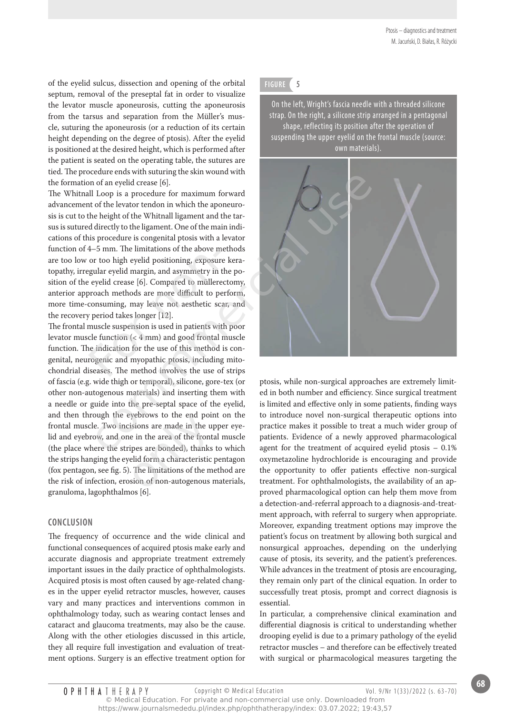of the eyelid sulcus, dissection and opening of the orbital septum, removal of the preseptal fat in order to visualize the levator muscle aponeurosis, cutting the aponeurosis from the tarsus and separation from the Müller's muscle, suturing the aponeurosis (or a reduction of its certain height depending on the degree of ptosis). After the eyelid is positioned at the desired height, which is performed after the patient is seated on the operating table, the sutures are tied. The procedure ends with suturing the skin wound with the formation of an eyelid crease [6].

The Whitnall Loop is a procedure for maximum forward advancement of the levator tendon in which the aponeurosis is cut to the height of the Whitnall ligament and the tarsus is sutured directly to the ligament. One of the main indications of this procedure is congenital ptosis with a levator function of 4–5 mm. The limitations of the above methods are too low or too high eyelid positioning, exposure keratopathy, irregular eyelid margin, and asymmetry in the position of the eyelid crease [6]. Compared to müllerectomy, anterior approach methods are more difficult to perform, more time-consuming, may leave not aesthetic scar, and the recovery period takes longer [12].  $4-5$  mm. The limitations of the above m<br>or too high eyelid positioning, exposure<br>gular eyelid margin, and asymmetry in t<br>eyelid crease [6]. Compared to müllere<br>proach methods are more difficult to pe<br>consuming, may leave

The frontal muscle suspension is used in patients with poor levator muscle function (< 4 mm) and good frontal muscle function. The indication for the use of this method is congenital, neurogenic and myopathic ptosis, including mitochondrial diseases. The method involves the use of strips of fascia (e.g. wide thigh or temporal), silicone, gore-tex (or other non-autogenous materials) and inserting them with a needle or guide into the pre-septal space of the eyelid, and then through the eyebrows to the end point on the frontal muscle. Two incisions are made in the upper eyelid and eyebrow, and one in the area of the frontal muscle (the place where the stripes are bonded), thanks to which the strips hanging the eyelid form a characteristic pentagon (fox pentagon, see fig. 5). The limitations of the method are the risk of infection, erosion of non-autogenous materials, granuloma, lagophthalmos [6]. yebrows to the end poin<br>isions are made in the u<sub>l</sub><br>e in the area of the front<br>ipes are bonded), thanks<br>elid form a characteristic<br>. The limitations of the m<br>sion of non-autogenous i

# **Conclusion**

The frequency of occurrence and the wide clinical and functional consequences of acquired ptosis make early and accurate diagnosis and appropriate treatment extremely important issues in the daily practice of ophthalmologists. Acquired ptosis is most often caused by age-related changes in the upper eyelid retractor muscles, however, causes vary and many practices and interventions common in ophthalmology today, such as wearing contact lenses and cataract and glaucoma treatments, may also be the cause. Along with the other etiologies discussed in this article, they all require full investigation and evaluation of treatment options. Surgery is an effective treatment option for

# **FIGURE 5**

On the left, Wright's fascia needle with a threaded silicone strap. On the right, a silicone strip arranged in a pentagonal shape, reflecting its position after the operation of suspending the upper eyelid on the frontal muscle (source: own materials).



ptosis, while non-surgical approaches are extremely limited in both number and efficiency. Since surgical treatment is limited and effective only in some patients, finding ways to introduce novel non-surgical therapeutic options into practice makes it possible to treat a much wider group of patients. Evidence of a newly approved pharmacological agent for the treatment of acquired eyelid ptosis – 0.1% oxymetazoline hydrochloride is encouraging and provide the opportunity to offer patients effective non-surgical treatment. For ophthalmologists, the availability of an approved pharmacological option can help them move from a detection-and-referral approach to a diagnosis-and-treatment approach, with referral to surgery when appropriate. Moreover, expanding treatment options may improve the patient's focus on treatment by allowing both surgical and nonsurgical approaches, depending on the underlying cause of ptosis, its severity, and the patient's preferences. While advances in the treatment of ptosis are encouraging, they remain only part of the clinical equation. In order to successfully treat ptosis, prompt and correct diagnosis is essential.

In particular, a comprehensive clinical examination and differential diagnosis is critical to understanding whether drooping eyelid is due to a primary pathology of the eyelid retractor muscles – and therefore can be effectively treated with surgical or pharmacological measures targeting the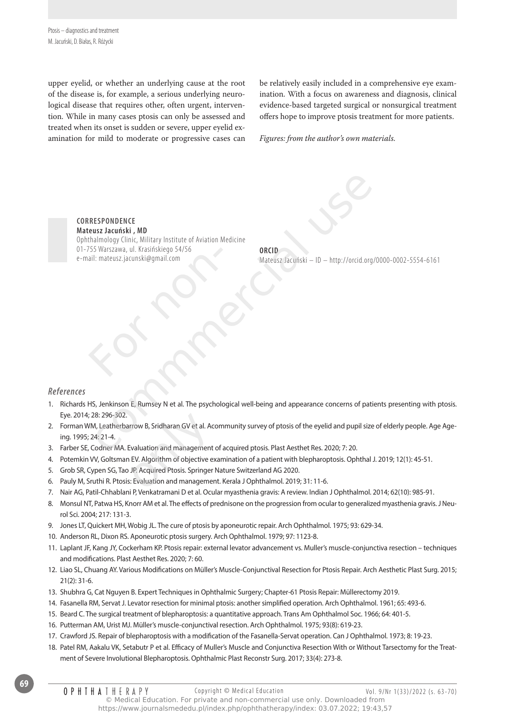upper eyelid, or whether an underlying cause at the root of the disease is, for example, a serious underlying neurological disease that requires other, often urgent, intervention. While in many cases ptosis can only be assessed and treated when its onset is sudden or severe, upper eyelid examination for mild to moderate or progressive cases can be relatively easily included in a comprehensive eye examination. With a focus on awareness and diagnosis, clinical evidence-based targeted surgical or nonsurgical treatment offers hope to improve ptosis treatment for more patients.

*Figures: from the author's own materials.*

**Correspondence Mateusz Jacuński , MD** Ophthalmology Clinic, Military Institute of Aviation Medicine 01-755 Warszawa, ul. Krasińskiego 54/56 e-mail: mateusz.jacunski@gmail.com For Warszawa, ul. Krasinskiego 54/56<br>ail: mateusz.jacunski@gmail.com<br>Alland Control Control Control Control Control Control Control Control Control Control Control Control Control Control Control Control Control Control Co ESPONDENCE<br>
usz Jacuński , MD<br>
sis Warszawa, ul. Krasińskiego 54/56<br>
II: mateusz, jacuński @ymail.com<br>
Mateusz Jacuński — ID — http://orcid.org/00<br>
Mateusz Jacuński — ID — http://orcid.org/00<br>
Mateusz Jacuński — ID — http:

**ORCID**  Mateusz Jacuński – ID – http://orcid.org/0000-0002-5554-6161

# *References*

- 1. Richards HS, Jenkinson E, Rumsey N et al. The psychological well-being and appearance concerns of patients presenting with ptosis. Eye. 2014; 28: 296-302.
- 2. Forman WM, Leatherbarrow B, Sridharan GV et al. Acommunity survey of ptosis of the eyelid and pupil size of elderly people. Age Ageing. 1995; 24: 21-4. Eye. 2014; 28: 296-302.<br>
2. Forman WM, Leatherbarrow B, Sridharan GV et al. Acommunity survey of ptosis of the eyeli<br>
ing. 1995; 24: 21-4.<br>
3. Farber SE, Codner MA. Evaluation and management of acquired ptosis. Plast Aesth
- 3. Farber SE, Codner MA. Evaluation and management of acquired ptosis. Plast Aesthet Res. 2020; 7: 20.
- 4. Potemkin VV, Goltsman EV. Algorithm of objective examination of a patient with blepharoptosis. Ophthal J. 2019; 12(1): 45-51.
- 5. Grob SR, Cypen SG, Tao JP. Acquired Ptosis. Springer Nature Switzerland AG 2020.
- 
- 7. Nair AG, Patil-Chhablani P, Venkatramani D et al. Ocular myasthenia gravis: A review. Indian J Ophthalmol. 2014; 62(10): 985-91.
- 8. Monsul NT, Patwa HS, Knorr AM et al. The effects of prednisone on the progression from ocular to generalized myasthenia gravis. J Neurol Sci. 2004; 217: 131-3.
- 9. Jones LT, Quickert MH, Wobig JL. The cure of ptosis by aponeurotic repair. Arch Ophthalmol. 1975; 93: 629-34.
- 10. Anderson RL, Dixon RS. Aponeurotic ptosis surgery. Arch Ophthalmol. 1979; 97: 1123-8.
- 11. Laplant JF, Kang JY, Cockerham KP. Ptosis repair: external levator advancement vs. Muller's muscle-conjunctiva resection techniques and modifications. Plast Aesthet Res. 2020; 7: 60.
- 12. Liao SL, Chuang AY. Various Modifications on Müller's Muscle-Conjunctival Resection for Ptosis Repair. Arch Aesthetic Plast Surg. 2015; 21(2): 31-6.
- 13. Shubhra G, Cat Nguyen B. Expert Techniques in Ophthalmic Surgery; Chapter-61 Ptosis Repair: Müllerectomy 2019.
- 14. Fasanella RM, Servat J. Levator resection for minimal ptosis: another simplified operation. Arch Ophthalmol. 1961; 65: 493-6.
- 15. Beard C. The surgical treatment of blepharoptosis: a quantitative approach. Trans Am Ophthalmol Soc. 1966; 64: 401-5.
- 16. Putterman AM, Urist MJ. Müller's muscle-conjunctival resection. Arch Ophthalmol. 1975; 93(8): 619-23.
- 17. Crawford JS. Repair of blepharoptosis with a modification of the Fasanella-Servat operation. Can J Ophthalmol. 1973; 8: 19-23.
- 18. Patel RM, Aakalu VK, Setabutr P et al. Efficacy of Muller's Muscle and Conjunctiva Resection With or Without Tarsectomy for the Treatment of Severe Involutional Blepharoptosis. Ophthalmic Plast Reconstr Surg. 2017; 33(4): 273-8.

**OPHIHATHERAPY** 

**69**